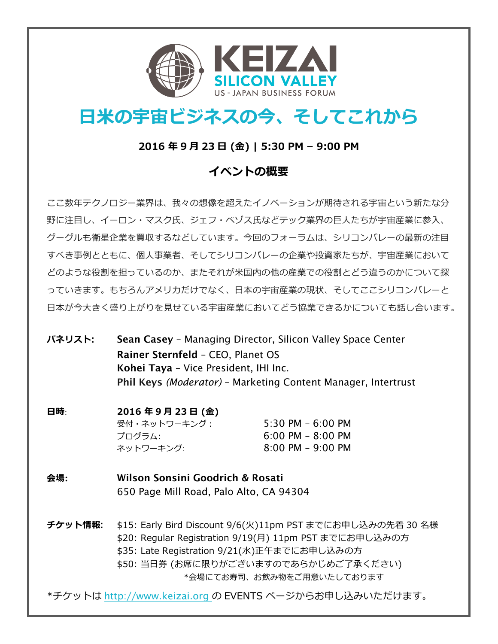

# **⽇⽶の宇宙ビジネスの今、そしてこれから**

#### **2016 年 9 ⽉ 23 ⽇ (⾦) | 5:30 PM – 9:00 PM**

### **イベントの概要**

ここ数年テクノロジー業界は、我々の想像を超えたイノベーションが期待される宇宙という新たな分 野に注目し、イーロン・マスク氏、ジェフ・ベゾス氏などテック業界の巨人たちが宇宙産業に参入、 グーグルも衛星企業を買収するなどしています。今回のフォーラムは、シリコンバレーの最新の注⽬ すべき事例とともに、個⼈事業者、そしてシリコンバレーの企業や投資家たちが、宇宙産業において どのような役割を担っているのか、またそれが⽶国内の他の産業での役割とどう違うのかについて探 っていきます。もちろんアメリカだけでなく、日本の宇宙産業の現状、そしてここシリコンバレーと ⽇本が今⼤きく盛り上がりを⾒せている宇宙産業においてどう協業できるかについても話し合います。

**パネリスト**: Sean Casey – Managing Director, Silicon Valley Space Center Rainer Sternfeld – CEO, Planet OS Kohei Taya – Vice President, IHI Inc. Phil Keys *(Moderator)* – Marketing Content Manager, Intertrust

## **⽇時**: **2016 年 9 ⽉ 23 ⽇ (⾦)**

受付・ネットワーキング: 5:30 PM – 6:00 PM プログラム: 6:00 PM – 8:00 PM ネットワーキング: 8:00 PM – 9:00 PM

**会場:** Wilson Sonsini Goodrich & Rosati 650 Page Mill Road, Palo Alto, CA 94304

**チケット情報**: \$15: Early Bird Discount 9/6(⽕)11pm PST までにお申し込みの先着 30 名様 \$20: Regular Registration 9/19(月) 11pm PST までにお申し込みの方 \$35: Late Registration 9/21(水)正午までにお申し込みの方 \$50: 当日券 (お席に限りがございますのであらかじめご了承ください)

\*会場にてお寿司、お飲み物をご用意いたしております

\*チケットは http://www.keizai.org の EVENTS ページからお申し込みいただけます。